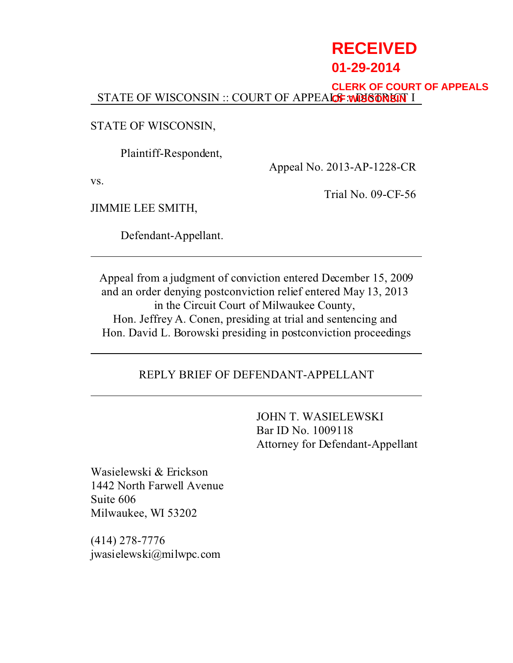# **RECEIVED**

# **01-29-2014**

STATE OF WISCONSIN :: COURT OF APPEALOF : WISCONSIN I **CLERK OF COURT OF APPEALS**

STATE OF WISCONSIN,

Plaintiff-Respondent,

Appeal No. 2013-AP-1228-CR

vs.

Trial No. 09-CF-56

JIMMIE LEE SMITH,

Defendant-Appellant.

Appeal from a judgment of conviction entered December 15, 2009 and an order denying postconviction relief entered May 13, 2013 in the Circuit Court of Milwaukee County, Hon. Jeffrey A. Conen, presiding at trial and sentencing and Hon. David L. Borowski presiding in postconviction proceedings

# REPLY BRIEF OF DEFENDANT-APPELLANT

JOHN T. WASIELEWSKI Bar ID No. 1009118 Attorney for Defendant-Appellant

Wasielewski & Erickson 1442 North Farwell Avenue Suite 606 Milwaukee, WI 53202

(414) 278-7776 jwasielewski@milwpc.com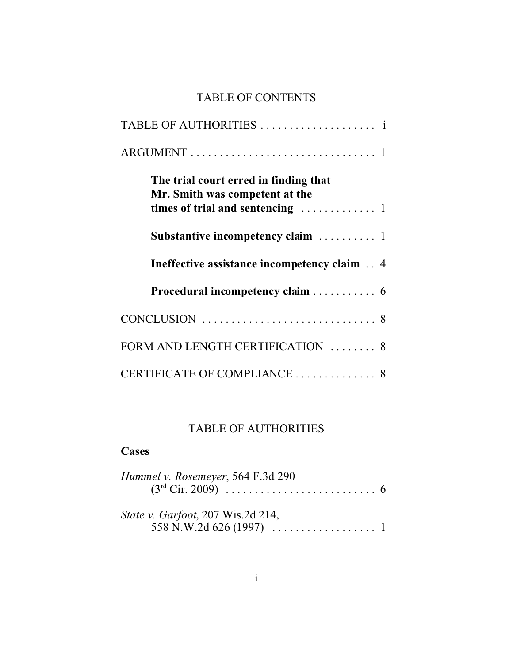# TABLE OF CONTENTS

| The trial court erred in finding that<br>Mr. Smith was competent at the |
|-------------------------------------------------------------------------|
| Substantive incompetency claim  1                                       |
| Ineffective assistance incompetency claim 4                             |
| Procedural incompetency claim 6                                         |
|                                                                         |
| FORM AND LENGTH CERTIFICATION  8                                        |
| CERTIFICATE OF COMPLIANCE  8                                            |

# TABLE OF AUTHORITIES

## **Cases**

| Hummel v. Rosemeyer, 564 F.3d 290        |  |
|------------------------------------------|--|
| <i>State v. Garfoot, 207 Wis.2d 214,</i> |  |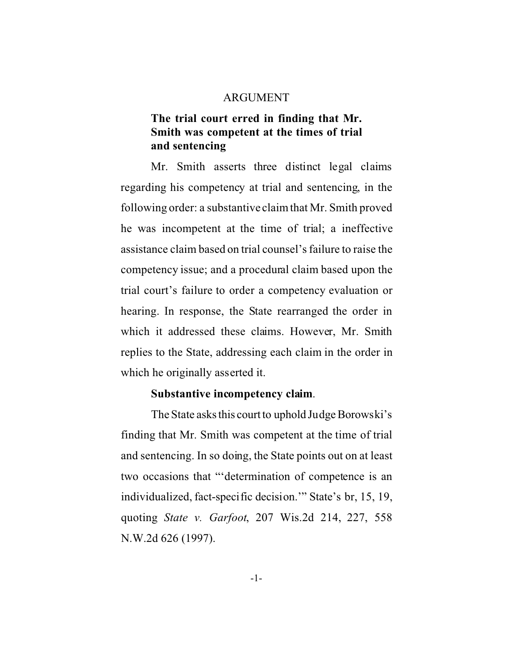#### ARGUMENT

## **The trial court erred in finding that Mr. Smith was competent at the times of trial and sentencing**

Mr. Smith asserts three distinct legal claims regarding his competency at trial and sentencing, in the following order: a substantive claim that Mr. Smith proved he was incompetent at the time of trial; a ineffective assistance claim based on trial counsel's failure to raise the competency issue; and a procedural claim based upon the trial court's failure to order a competency evaluation or hearing. In response, the State rearranged the order in which it addressed these claims. However, Mr. Smith replies to the State, addressing each claim in the order in which he originally asserted it.

#### **Substantive incompetency claim**.

The State asks this court to uphold Judge Borowski's finding that Mr. Smith was competent at the time of trial and sentencing. In so doing, the State points out on at least two occasions that "'determination of competence is an individualized, fact-specific decision.'" State's br, 15, 19, quoting *State v. Garfoot*, 207 Wis.2d 214, 227, 558 N.W.2d 626 (1997).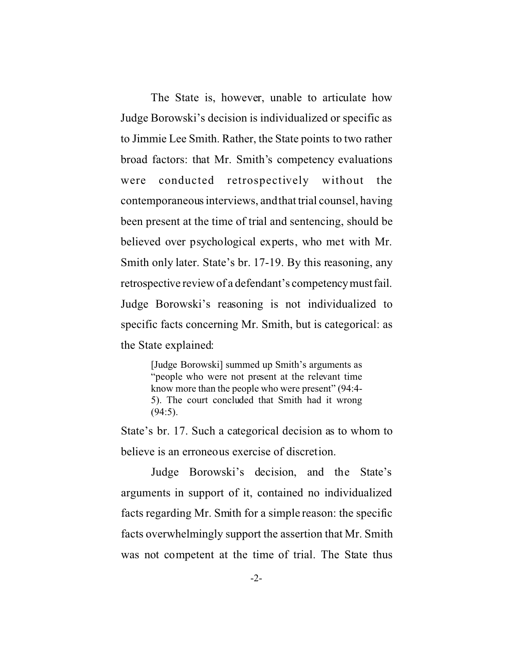The State is, however, unable to articulate how Judge Borowski's decision is individualized or specific as to Jimmie Lee Smith. Rather, the State points to two rather broad factors: that Mr. Smith's competency evaluations were conducted retrospectively without the contemporaneous interviews, and that trial counsel, having been present at the time of trial and sentencing, should be believed over psychological experts, who met with Mr. Smith only later. State's br. 17-19. By this reasoning, any retrospective review of a defendant's competencymustfail. Judge Borowski's reasoning is not individualized to specific facts concerning Mr. Smith, but is categorical: as the State explained:

> [Judge Borowski] summed up Smith's arguments as "people who were not present at the relevant time know more than the people who were present" (94:4- 5). The court concluded that Smith had it wrong (94:5).

State's br. 17. Such a categorical decision as to whom to believe is an erroneous exercise of discretion.

Judge Borowski's decision, and the State's arguments in support of it, contained no individualized facts regarding Mr. Smith for a simple reason: the specific facts overwhelmingly support the assertion that Mr. Smith was not competent at the time of trial. The State thus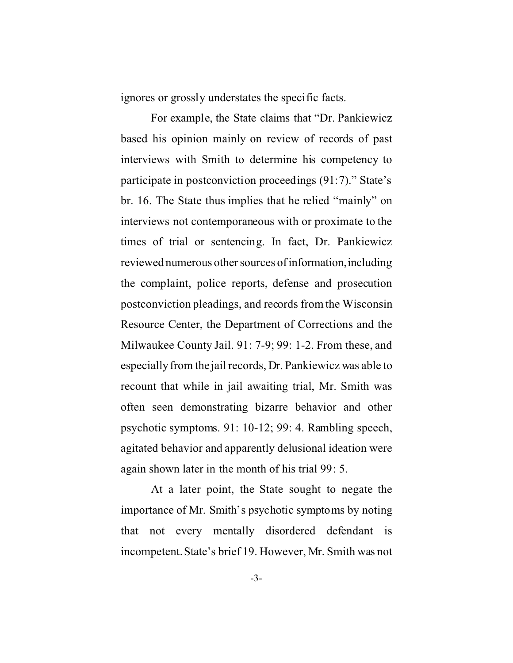ignores or grossly understates the specific facts.

For example, the State claims that "Dr. Pankiewicz based his opinion mainly on review of records of past interviews with Smith to determine his competency to participate in postconviction proceedings (91:7)." State's br. 16. The State thus implies that he relied "mainly" on interviews not contemporaneous with or proximate to the times of trial or sentencing. In fact, Dr. Pankiewicz reviewed numerous other sources of information,including the complaint, police reports, defense and prosecution postconviction pleadings, and records from the Wisconsin Resource Center, the Department of Corrections and the Milwaukee County Jail. 91: 7-9; 99: 1-2. From these, and especially from the jail records, Dr. Pankiewicz was able to recount that while in jail awaiting trial, Mr. Smith was often seen demonstrating bizarre behavior and other psychotic symptoms. 91: 10-12; 99: 4. Rambling speech, agitated behavior and apparently delusional ideation were again shown later in the month of his trial 99: 5.

At a later point, the State sought to negate the importance of Mr. Smith's psychotic symptoms by noting that not every mentally disordered defendant is incompetent. State's brief 19. However, Mr. Smith was not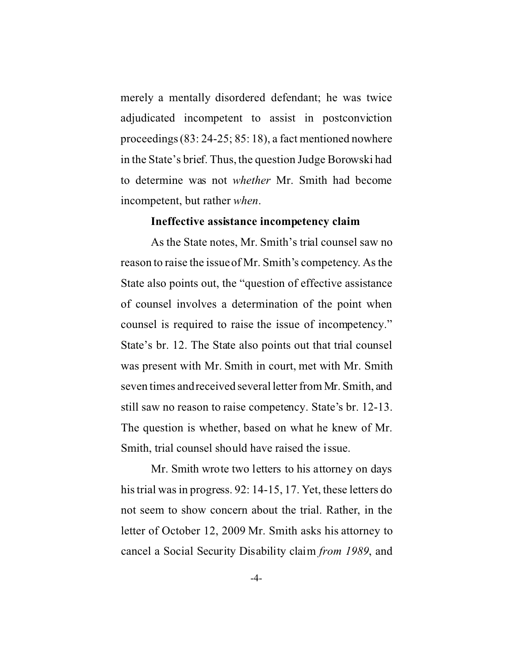merely a mentally disordered defendant; he was twice adjudicated incompetent to assist in postconviction proceedings (83: 24-25; 85: 18), a fact mentioned nowhere in the State's brief. Thus, the question Judge Borowski had to determine was not *whether* Mr. Smith had become incompetent, but rather *when*.

#### **Ineffective assistance incompetency claim**

As the State notes, Mr. Smith's trial counsel saw no reason to raise the issue of Mr. Smith's competency. As the State also points out, the "question of effective assistance of counsel involves a determination of the point when counsel is required to raise the issue of incompetency." State's br. 12. The State also points out that trial counsel was present with Mr. Smith in court, met with Mr. Smith seven times and received several letter from Mr. Smith, and still saw no reason to raise competency. State's br. 12-13. The question is whether, based on what he knew of Mr. Smith, trial counsel should have raised the issue.

Mr. Smith wrote two letters to his attorney on days his trial was in progress. 92: 14-15, 17. Yet, these letters do not seem to show concern about the trial. Rather, in the letter of October 12, 2009 Mr. Smith asks his attorney to cancel a Social Security Disability claim *from 1989*, and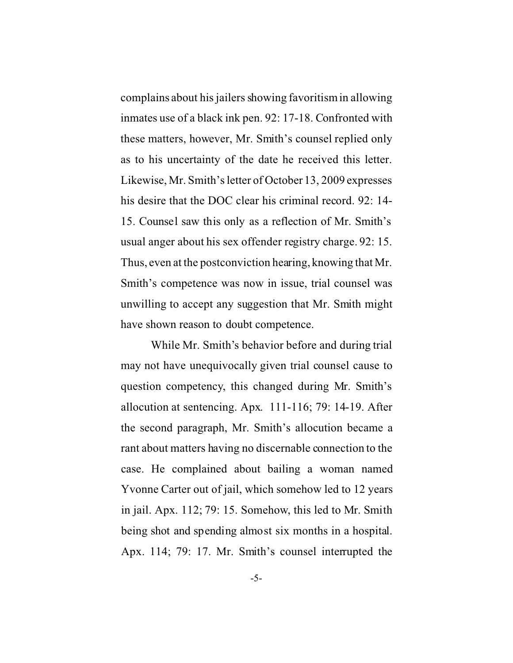complains about his jailers showing favoritism in allowing inmates use of a black ink pen. 92: 17-18. Confronted with these matters, however, Mr. Smith's counsel replied only as to his uncertainty of the date he received this letter. Likewise, Mr. Smith's letter of October 13, 2009 expresses his desire that the DOC clear his criminal record. 92: 14- 15. Counsel saw this only as a reflection of Mr. Smith's usual anger about his sex offender registry charge. 92: 15. Thus, even at the postconviction hearing, knowing that Mr. Smith's competence was now in issue, trial counsel was unwilling to accept any suggestion that Mr. Smith might have shown reason to doubt competence.

While Mr. Smith's behavior before and during trial may not have unequivocally given trial counsel cause to question competency, this changed during Mr. Smith's allocution at sentencing. Apx. 111-116; 79: 14-19. After the second paragraph, Mr. Smith's allocution became a rant about matters having no discernable connection to the case. He complained about bailing a woman named Yvonne Carter out of jail, which somehow led to 12 years in jail. Apx. 112; 79: 15. Somehow, this led to Mr. Smith being shot and spending almost six months in a hospital. Apx. 114; 79: 17. Mr. Smith's counsel interrupted the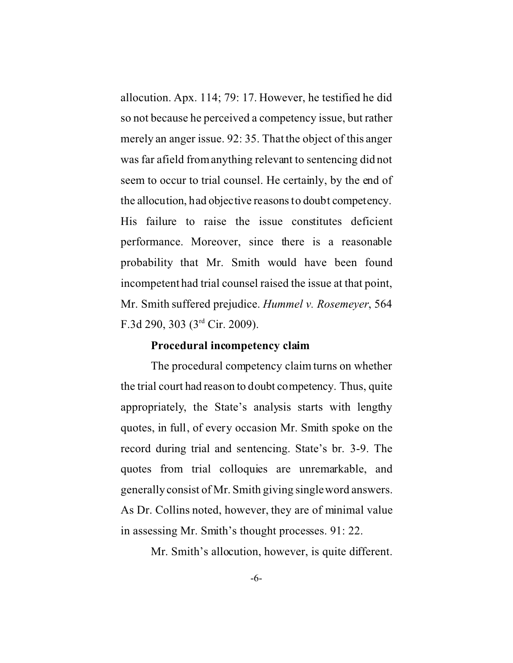allocution. Apx. 114; 79: 17. However, he testified he did so not because he perceived a competency issue, but rather merely an anger issue. 92: 35. That the object of this anger was far afield from anything relevant to sentencing did not seem to occur to trial counsel. He certainly, by the end of the allocution, had objective reasons to doubt competency. His failure to raise the issue constitutes deficient performance. Moreover, since there is a reasonable probability that Mr. Smith would have been found incompetent had trial counsel raised the issue at that point, Mr. Smith suffered prejudice. *Hummel v. Rosemeyer*, 564 F.3d 290, 303 (3rd Cir. 2009).

#### **Procedural incompetency claim**

The procedural competency claim turns on whether the trial court had reason to doubt competency. Thus, quite appropriately, the State's analysis starts with lengthy quotes, in full, of every occasion Mr. Smith spoke on the record during trial and sentencing. State's br. 3-9. The quotes from trial colloquies are unremarkable, and generally consist of Mr. Smith giving single word answers. As Dr. Collins noted, however, they are of minimal value in assessing Mr. Smith's thought processes. 91: 22.

Mr. Smith's allocution, however, is quite different.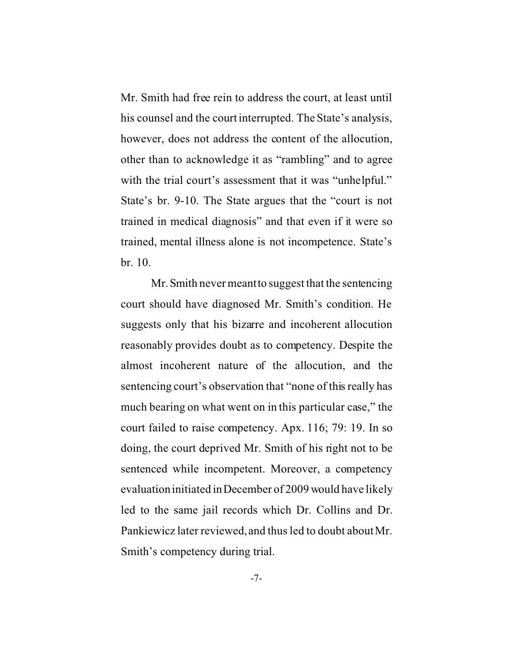Mr. Smith had free rein to address the court, at least until his counsel and the court interrupted. The State's analysis, however, does not address the content of the allocution, other than to acknowledge it as "rambling" and to agree with the trial court's assessment that it was "unhelpful." State's br. 9-10. The State argues that the "court is not trained in medical diagnosis" and that even if it were so trained, mental illness alone is not incompetence. State's br. 10.

Mr. Smith never meant to suggest that the sentencing court should have diagnosed Mr. Smith's condition. He suggests only that his bizarre and incoherent allocution reasonably provides doubt as to competency. Despite the almost incoherent nature of the allocution, and the sentencing court's observation that "none of this really has much bearing on what went on in this particular case," the court failed to raise competency. Apx. 116; 79: 19. In so doing, the court deprived Mr. Smith of his right not to be sentenced while incompetent. Moreover, a competency evaluation initiated in December of 2009 would have likely led to the same jail records which Dr. Collins and Dr. Pankiewicz later reviewed, and thus led to doubt about Mr. Smith's competency during trial.